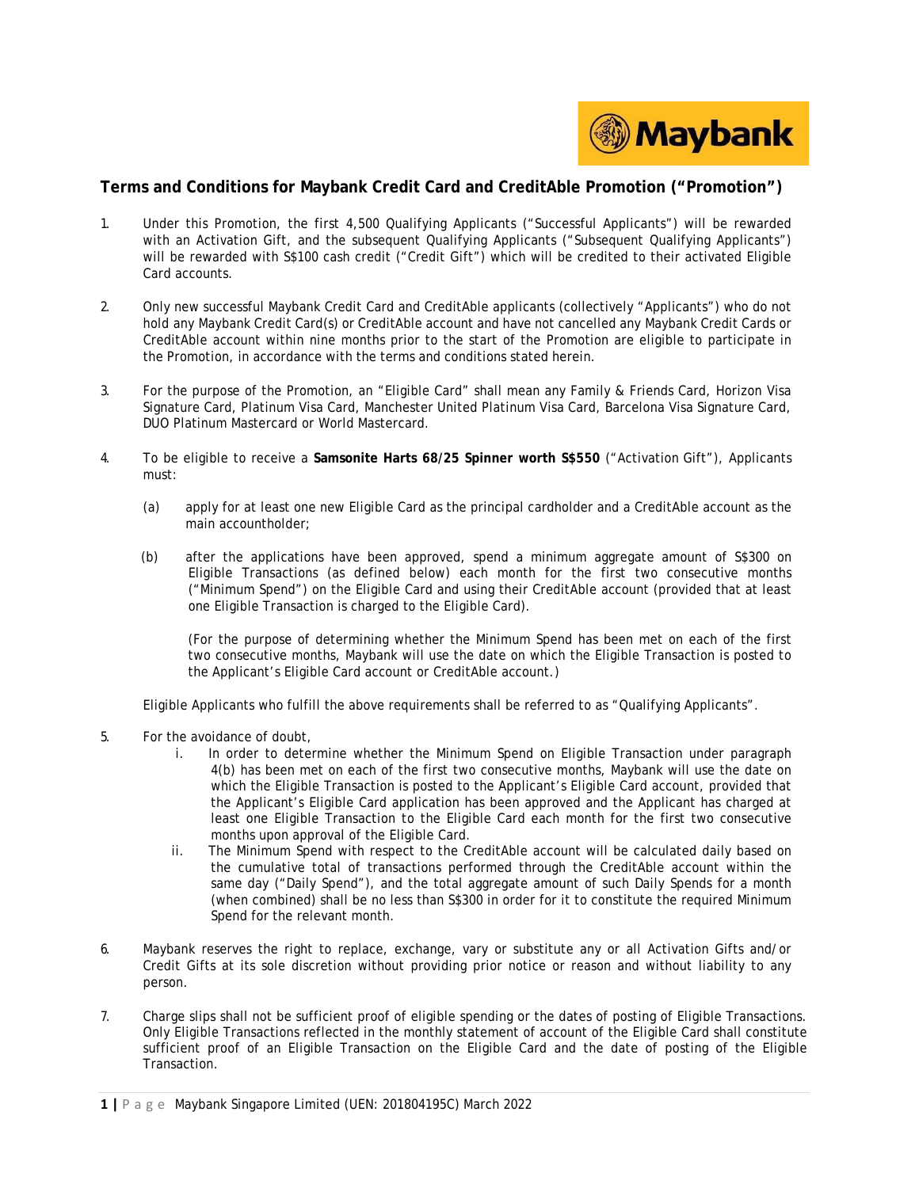

## **Terms and Conditions for Maybank Credit Card and CreditAble Promotion ("Promotion")**

- 1. Under this Promotion, the first 4,500 Qualifying Applicants ("Successful Applicants") will be rewarded with an Activation Gift, and the subsequent Qualifying Applicants ("Subsequent Qualifying Applicants") will be rewarded with S\$100 cash credit ("Credit Gift") which will be credited to their activated Eligible Card accounts.
- 2. Only new successful Maybank Credit Card and CreditAble applicants (collectively "Applicants") who do not hold any Maybank Credit Card(s) or CreditAble account and have not cancelled any Maybank Credit Cards or CreditAble account within nine months prior to the start of the Promotion are eligible to participate in the Promotion, in accordance with the terms and conditions stated herein.
- 3. For the purpose of the Promotion, an "Eligible Card" shall mean any Family & Friends Card, Horizon Visa Signature Card, Platinum Visa Card, Manchester United Platinum Visa Card, Barcelona Visa Signature Card, DUO Platinum Mastercard or World Mastercard.
- 4. To be eligible to receive a **Samsonite Harts 68/25 Spinner worth S\$550** ("Activation Gift"), Applicants must:
	- (a) apply for at least one new Eligible Card as the principal cardholder and a CreditAble account as the main accountholder;
	- (b) after the applications have been approved, spend a minimum aggregate amount of S\$300 on Eligible Transactions (as defined below) each month for the first two consecutive months ("Minimum Spend") on the Eligible Card and using their CreditAble account (provided that at least one Eligible Transaction is charged to the Eligible Card).

(For the purpose of determining whether the Minimum Spend has been met on each of the first two consecutive months, Maybank will use the date on which the Eligible Transaction is posted to the Applicant's Eligible Card account or CreditAble account.)

Eligible Applicants who fulfill the above requirements shall be referred to as "Qualifying Applicants".

- 5. For the avoidance of doubt,
	- i. In order to determine whether the Minimum Spend on Eligible Transaction under paragraph 4(b) has been met on each of the first two consecutive months, Maybank will use the date on which the Eligible Transaction is posted to the Applicant's Eligible Card account, provided that the Applicant's Eligible Card application has been approved and the Applicant has charged at least one Eligible Transaction to the Eligible Card each month for the first two consecutive months upon approval of the Eligible Card.
	- ii. The Minimum Spend with respect to the CreditAble account will be calculated daily based on the cumulative total of transactions performed through the CreditAble account within the same day ("Daily Spend"), and the total aggregate amount of such Daily Spends for a month (when combined) shall be no less than S\$300 in order for it to constitute the required Minimum Spend for the relevant month.
- 6. Maybank reserves the right to replace, exchange, vary or substitute any or all Activation Gifts and/or Credit Gifts at its sole discretion without providing prior notice or reason and without liability to any person.
- 7. Charge slips shall not be sufficient proof of eligible spending or the dates of posting of Eligible Transactions. Only Eligible Transactions reflected in the monthly statement of account of the Eligible Card shall constitute sufficient proof of an Eligible Transaction on the Eligible Card and the date of posting of the Eligible Transaction.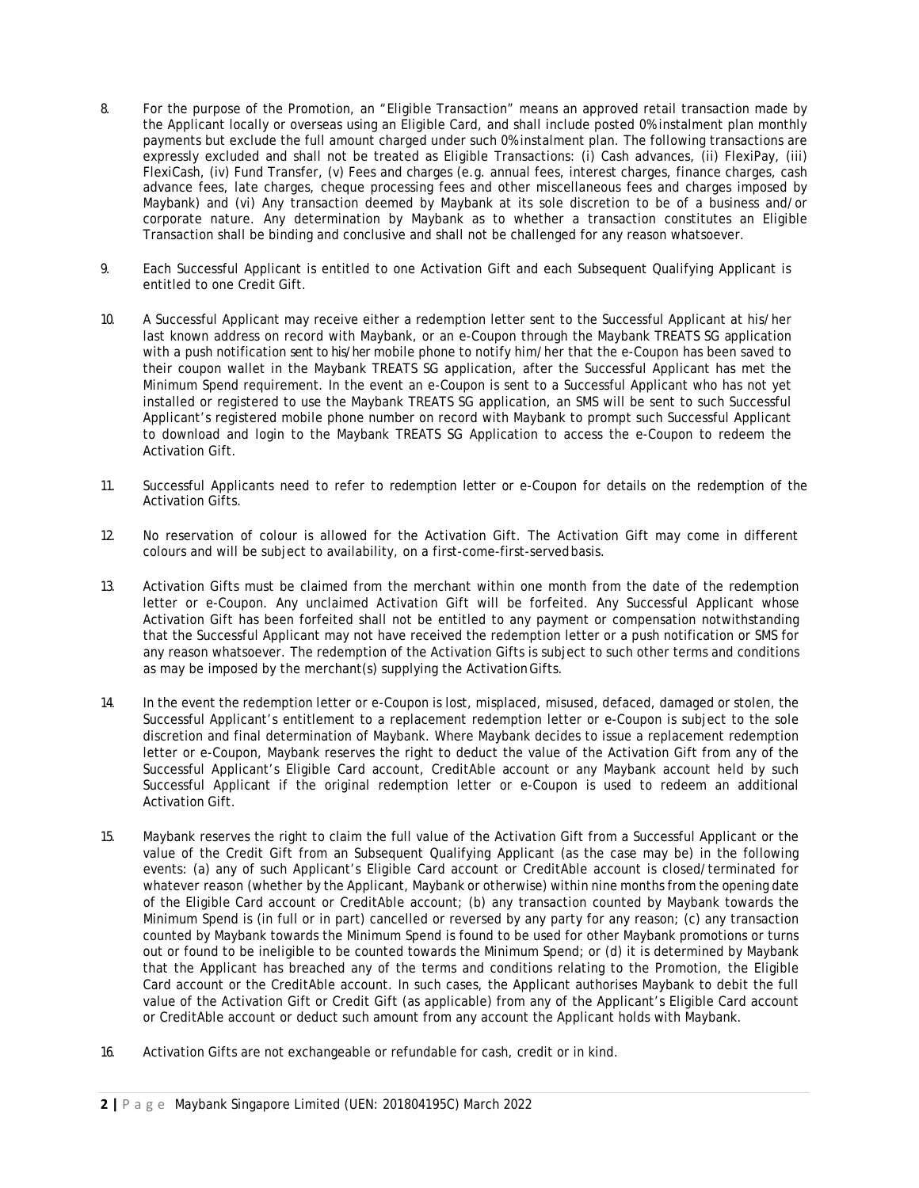- 8. For the purpose of the Promotion, an "Eligible Transaction" means an approved retail transaction made by the Applicant locally or overseas using an Eligible Card, and shall include posted 0% instalment plan monthly payments but exclude the full amount charged under such 0% instalment plan. The following transactions are expressly excluded and shall not be treated as Eligible Transactions: (i) Cash advances, (ii) FlexiPay, (iii) FlexiCash, (iv) Fund Transfer, (v) Fees and charges (e.g. annual fees, interest charges, finance charges, cash advance fees, late charges, cheque processing fees and other miscellaneous fees and charges imposed by Maybank) and (vi) Any transaction deemed by Maybank at its sole discretion to be of a business and/or corporate nature. Any determination by Maybank as to whether a transaction constitutes an Eligible Transaction shall be binding and conclusive and shall not be challenged for any reason whatsoever.
- 9. Each Successful Applicant is entitled to one Activation Gift and each Subsequent Qualifying Applicant is entitled to one Credit Gift.
- 10. A Successful Applicant may receive either a redemption letter sent to the Successful Applicant at his/her last known address on record with Maybank, or an e-Coupon through the Maybank TREATS SG application with a push notification sent to his/her mobile phone to notify him/her that the e-Coupon has been saved to their coupon wallet in the Maybank TREATS SG application, after the Successful Applicant has met the Minimum Spend requirement. In the event an e-Coupon is sent to a Successful Applicant who has not yet installed or registered to use the Maybank TREATS SG application, an SMS will be sent to such Successful Applicant's registered mobile phone number on record with Maybank to prompt such Successful Applicant to download and login to the Maybank TREATS SG Application to access the e-Coupon to redeem the Activation Gift.
- 11. Successful Applicants need to refer to redemption letter or e-Coupon for details on the redemption of the Activation Gifts.
- 12. No reservation of colour is allowed for the Activation Gift. The Activation Gift may come in different colours and will be subject to availability, on a first-come-first-servedbasis.
- 13. Activation Gifts must be claimed from the merchant within one month from the date of the redemption letter or e-Coupon. Any unclaimed Activation Gift will be forfeited. Any Successful Applicant whose Activation Gift has been forfeited shall not be entitled to any payment or compensation notwithstanding that the Successful Applicant may not have received the redemption letter or a push notification or SMS for any reason whatsoever. The redemption of the Activation Gifts is subject to such other terms and conditions as may be imposed by the merchant(s) supplying the ActivationGifts.
- 14. In the event the redemption letter or e-Coupon is lost, misplaced, misused, defaced, damaged or stolen, the Successful Applicant's entitlement to a replacement redemption letter or e-Coupon is subject to the sole discretion and final determination of Maybank. Where Maybank decides to issue a replacement redemption letter or e-Coupon, Maybank reserves the right to deduct the value of the Activation Gift from any of the Successful Applicant's Eligible Card account, CreditAble account or any Maybank account held by such Successful Applicant if the original redemption letter or e-Coupon is used to redeem an additional Activation Gift.
- 15. Maybank reserves the right to claim the full value of the Activation Gift from a Successful Applicant or the value of the Credit Gift from an Subsequent Qualifying Applicant (as the case may be) in the following events: (a) any of such Applicant's Eligible Card account or CreditAble account is closed/terminated for whatever reason (whether by the Applicant, Maybank or otherwise) within nine months from the opening date of the Eligible Card account or CreditAble account; (b) any transaction counted by Maybank towards the Minimum Spend is (in full or in part) cancelled or reversed by any party for any reason; (c) any transaction counted by Maybank towards the Minimum Spend is found to be used for other Maybank promotions or turns out or found to be ineligible to be counted towards the Minimum Spend; or (d) it is determined by Maybank that the Applicant has breached any of the terms and conditions relating to the Promotion, the Eligible Card account or the CreditAble account. In such cases, the Applicant authorises Maybank to debit the full value of the Activation Gift or Credit Gift (as applicable) from any of the Applicant's Eligible Card account or CreditAble account or deduct such amount from any account the Applicant holds with Maybank.
- 16. Activation Gifts are not exchangeable or refundable for cash, credit or in kind.